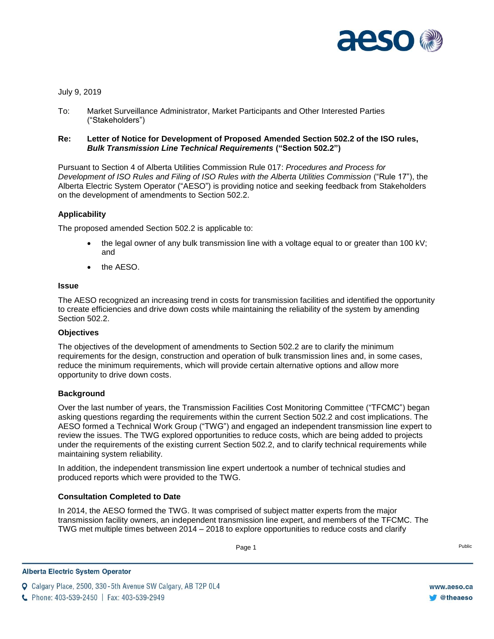

# July 9, 2019

To: Market Surveillance Administrator, Market Participants and Other Interested Parties ("Stakeholders")

# **Re: Letter of Notice for Development of Proposed Amended Section 502.2 of the ISO rules,**  *Bulk Transmission Line Technical Requirements* **("Section 502.2")**

Pursuant to Section 4 of Alberta Utilities Commission Rule 017: *Procedures and Process for Development of ISO Rules and Filing of ISO Rules with the Alberta Utilities Commission* ("Rule 17"), the Alberta Electric System Operator ("AESO") is providing notice and seeking feedback from Stakeholders on the development of amendments to Section 502.2.

# **Applicability**

The proposed amended Section 502.2 is applicable to:

- $\bullet$  the legal owner of any bulk transmission line with a voltage equal to or greater than 100 kV; and
- the AESO.

#### **Issue**

The AESO recognized an increasing trend in costs for transmission facilities and identified the opportunity to create efficiencies and drive down costs while maintaining the reliability of the system by amending Section 502.2.

# **Objectives**

The objectives of the development of amendments to Section 502.2 are to clarify the minimum requirements for the design, construction and operation of bulk transmission lines and, in some cases, reduce the minimum requirements, which will provide certain alternative options and allow more opportunity to drive down costs.

#### **Background**

Over the last number of years, the Transmission Facilities Cost Monitoring Committee ("TFCMC") began asking questions regarding the requirements within the current Section 502.2 and cost implications. The AESO formed a Technical Work Group ("TWG") and engaged an independent transmission line expert to review the issues. The TWG explored opportunities to reduce costs, which are being added to projects under the requirements of the existing current Section 502.2, and to clarify technical requirements while maintaining system reliability.

In addition, the independent transmission line expert undertook a number of technical studies and produced reports which were provided to the TWG.

# **Consultation Completed to Date**

In 2014, the AESO formed the TWG. It was comprised of subject matter experts from the major transmission facility owners, an independent transmission line expert, and members of the TFCMC. The TWG met multiple times between 2014 – 2018 to explore opportunities to reduce costs and clarify

Page 1 Public Page 1 Public Public Public Public Public Public Public Public Public Public Public Public Public Public Public Public Public Public Public Public Public Public Public Public Public Public Public Public Publi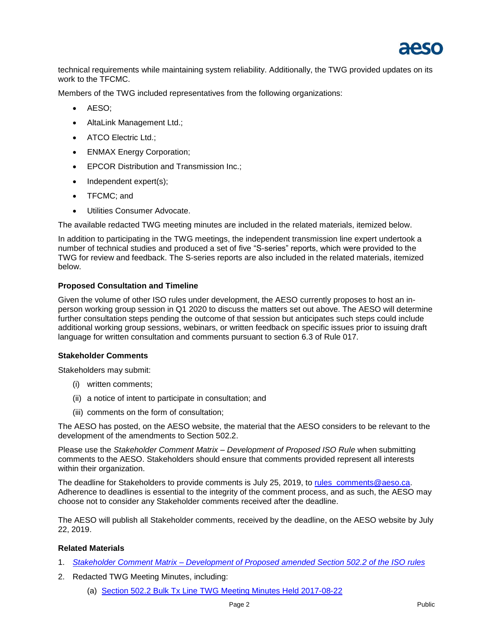

technical requirements while maintaining system reliability. Additionally, the TWG provided updates on its work to the TFCMC.

Members of the TWG included representatives from the following organizations:

- AESO:
- AltaLink Management Ltd.;
- ATCO Electric Ltd.;
- **ENMAX Energy Corporation;**
- **EPCOR Distribution and Transmission Inc.;**
- Independent expert(s);
- TFCMC; and
- Utilities Consumer Advocate.

The available redacted TWG meeting minutes are included in the related materials, itemized below.

In addition to participating in the TWG meetings, the independent transmission line expert undertook a number of technical studies and produced a set of five "S-series" reports, which were provided to the TWG for review and feedback. The S-series reports are also included in the related materials, itemized below.

#### **Proposed Consultation and Timeline**

Given the volume of other ISO rules under development, the AESO currently proposes to host an inperson working group session in Q1 2020 to discuss the matters set out above. The AESO will determine further consultation steps pending the outcome of that session but anticipates such steps could include additional working group sessions, webinars, or written feedback on specific issues prior to issuing draft language for written consultation and comments pursuant to section 6.3 of Rule 017.

#### **Stakeholder Comments**

Stakeholders may submit:

- (i) written comments;
- (ii) a notice of intent to participate in consultation; and
- (iii) comments on the form of consultation;

The AESO has posted, on the AESO website, the material that the AESO considers to be relevant to the development of the amendments to Section 502.2.

Please use the *Stakeholder Comment Matrix – Development of Proposed ISO Rule* when submitting comments to the AESO. Stakeholders should ensure that comments provided represent all interests within their organization.

The deadline for Stakeholders to provide comments is July 25, 2019, to [rules\\_comments@aeso.ca.](mailto:rules_comments@aeso.ca) Adherence to deadlines is essential to the integrity of the comment process, and as such, the AESO may choose not to consider any Stakeholder comments received after the deadline.

The AESO will publish all Stakeholder comments, received by the deadline, on the AESO website by July 22, 2019.

#### **Related Materials**

- 1. *Stakeholder Comment Matrix – [Development of Proposed](https://www.aeso.ca/assets/Uploads/Stakeholder-Comment-Matrix-Development-of-Proposed-amendments-to-ISO-rules-502.2.doc) amended Section 502.2 of the ISO rules*
- 2. Redacted TWG Meeting Minutes, including:
	- (a) Section 502.2 Bulk Tx Line TWG [Meeting Minutes Held 2017-08-22](https://www.aeso.ca/assets/Uploads/Section-502.2-Bulk-Tx-Line-TWG-Meeting-Minutes-Held-2017-08-22.pdf)